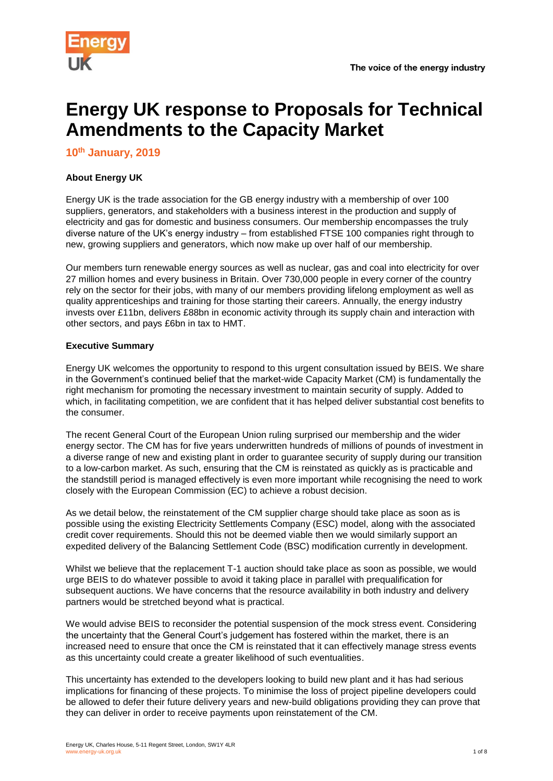



# **Energy UK response to Proposals for Technical Amendments to the Capacity Market**

**10th January, 2019**

# **About Energy UK**

Energy UK is the trade association for the GB energy industry with a membership of over 100 suppliers, generators, and stakeholders with a business interest in the production and supply of electricity and gas for domestic and business consumers. Our membership encompasses the truly diverse nature of the UK's energy industry – from established FTSE 100 companies right through to new, growing suppliers and generators, which now make up over half of our membership.

Our members turn renewable energy sources as well as nuclear, gas and coal into electricity for over 27 million homes and every business in Britain. Over 730,000 people in every corner of the country rely on the sector for their jobs, with many of our members providing lifelong employment as well as quality apprenticeships and training for those starting their careers. Annually, the energy industry invests over £11bn, delivers £88bn in economic activity through its supply chain and interaction with other sectors, and pays £6bn in tax to HMT.

# **Executive Summary**

Energy UK welcomes the opportunity to respond to this urgent consultation issued by BEIS. We share in the Government's continued belief that the market-wide Capacity Market (CM) is fundamentally the right mechanism for promoting the necessary investment to maintain security of supply. Added to which, in facilitating competition, we are confident that it has helped deliver substantial cost benefits to the consumer.

The recent General Court of the European Union ruling surprised our membership and the wider energy sector. The CM has for five years underwritten hundreds of millions of pounds of investment in a diverse range of new and existing plant in order to guarantee security of supply during our transition to a low-carbon market. As such, ensuring that the CM is reinstated as quickly as is practicable and the standstill period is managed effectively is even more important while recognising the need to work closely with the European Commission (EC) to achieve a robust decision.

As we detail below, the reinstatement of the CM supplier charge should take place as soon as is possible using the existing Electricity Settlements Company (ESC) model, along with the associated credit cover requirements. Should this not be deemed viable then we would similarly support an expedited delivery of the Balancing Settlement Code (BSC) modification currently in development.

Whilst we believe that the replacement T-1 auction should take place as soon as possible, we would urge BEIS to do whatever possible to avoid it taking place in parallel with prequalification for subsequent auctions. We have concerns that the resource availability in both industry and delivery partners would be stretched beyond what is practical.

We would advise BEIS to reconsider the potential suspension of the mock stress event. Considering the uncertainty that the General Court's judgement has fostered within the market, there is an increased need to ensure that once the CM is reinstated that it can effectively manage stress events as this uncertainty could create a greater likelihood of such eventualities.

This uncertainty has extended to the developers looking to build new plant and it has had serious implications for financing of these projects. To minimise the loss of project pipeline developers could be allowed to defer their future delivery years and new-build obligations providing they can prove that they can deliver in order to receive payments upon reinstatement of the CM.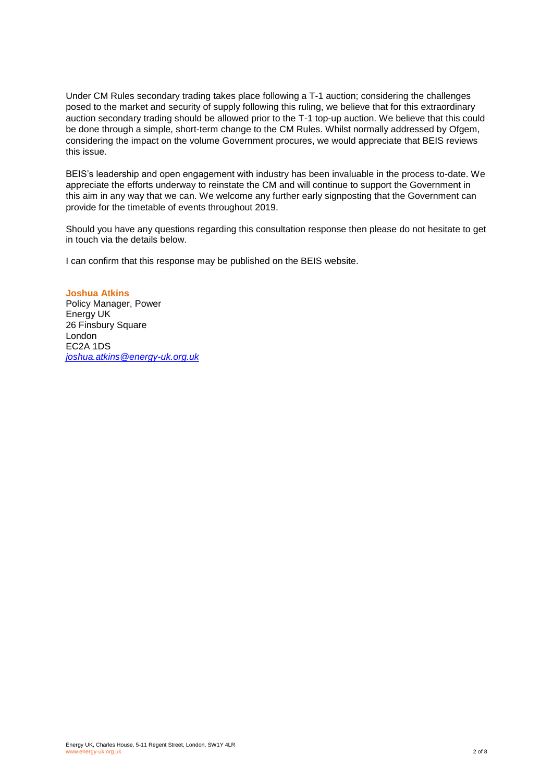Under CM Rules secondary trading takes place following a T-1 auction; considering the challenges posed to the market and security of supply following this ruling, we believe that for this extraordinary auction secondary trading should be allowed prior to the T-1 top-up auction. We believe that this could be done through a simple, short-term change to the CM Rules. Whilst normally addressed by Ofgem, considering the impact on the volume Government procures, we would appreciate that BEIS reviews this issue.

BEIS's leadership and open engagement with industry has been invaluable in the process to-date. We appreciate the efforts underway to reinstate the CM and will continue to support the Government in this aim in any way that we can. We welcome any further early signposting that the Government can provide for the timetable of events throughout 2019.

Should you have any questions regarding this consultation response then please do not hesitate to get in touch via the details below.

I can confirm that this response may be published on the BEIS website.

**Joshua Atkins** Policy Manager, Power Energy UK 26 Finsbury Square London EC2A 1DS *[joshua.atkins@energy-uk.org.uk](mailto:joshua.atkins@energy-uk.org.uk)*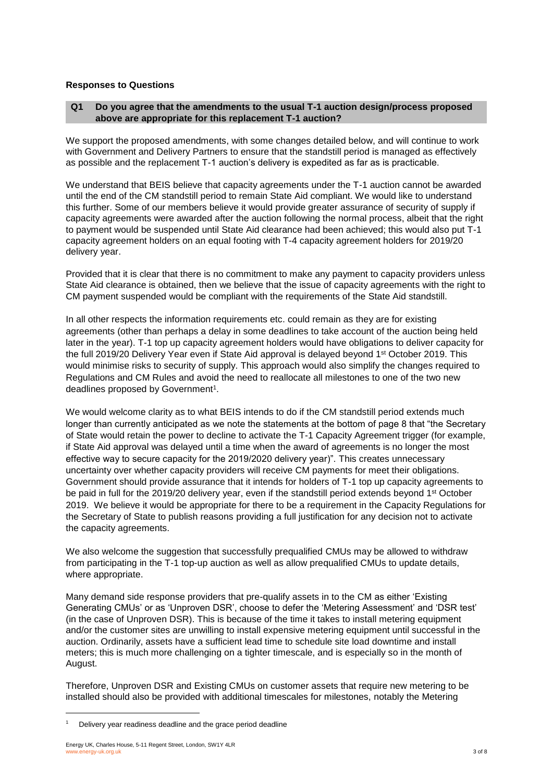## **Responses to Questions**

## **Q1 Do you agree that the amendments to the usual T-1 auction design/process proposed above are appropriate for this replacement T-1 auction?**

We support the proposed amendments, with some changes detailed below, and will continue to work with Government and Delivery Partners to ensure that the standstill period is managed as effectively as possible and the replacement T-1 auction's delivery is expedited as far as is practicable.

We understand that BEIS believe that capacity agreements under the T-1 auction cannot be awarded until the end of the CM standstill period to remain State Aid compliant. We would like to understand this further. Some of our members believe it would provide greater assurance of security of supply if capacity agreements were awarded after the auction following the normal process, albeit that the right to payment would be suspended until State Aid clearance had been achieved; this would also put T-1 capacity agreement holders on an equal footing with T-4 capacity agreement holders for 2019/20 delivery year.

Provided that it is clear that there is no commitment to make any payment to capacity providers unless State Aid clearance is obtained, then we believe that the issue of capacity agreements with the right to CM payment suspended would be compliant with the requirements of the State Aid standstill.

In all other respects the information requirements etc. could remain as they are for existing agreements (other than perhaps a delay in some deadlines to take account of the auction being held later in the year). T-1 top up capacity agreement holders would have obligations to deliver capacity for the full 2019/20 Delivery Year even if State Aid approval is delayed beyond 1<sup>st</sup> October 2019. This would minimise risks to security of supply. This approach would also simplify the changes required to Regulations and CM Rules and avoid the need to reallocate all milestones to one of the two new deadlines proposed by Government<sup>1</sup>.

We would welcome clarity as to what BEIS intends to do if the CM standstill period extends much longer than currently anticipated as we note the statements at the bottom of page 8 that "the Secretary of State would retain the power to decline to activate the T-1 Capacity Agreement trigger (for example, if State Aid approval was delayed until a time when the award of agreements is no longer the most effective way to secure capacity for the 2019/2020 delivery year)". This creates unnecessary uncertainty over whether capacity providers will receive CM payments for meet their obligations. Government should provide assurance that it intends for holders of T-1 top up capacity agreements to be paid in full for the 2019/20 delivery year, even if the standstill period extends beyond 1st October 2019. We believe it would be appropriate for there to be a requirement in the Capacity Regulations for the Secretary of State to publish reasons providing a full justification for any decision not to activate the capacity agreements.

We also welcome the suggestion that successfully prequalified CMUs may be allowed to withdraw from participating in the T-1 top-up auction as well as allow prequalified CMUs to update details, where appropriate.

Many demand side response providers that pre-qualify assets in to the CM as either 'Existing Generating CMUs' or as 'Unproven DSR', choose to defer the 'Metering Assessment' and 'DSR test' (in the case of Unproven DSR). This is because of the time it takes to install metering equipment and/or the customer sites are unwilling to install expensive metering equipment until successful in the auction. Ordinarily, assets have a sufficient lead time to schedule site load downtime and install meters; this is much more challenging on a tighter timescale, and is especially so in the month of August.

Therefore, Unproven DSR and Existing CMUs on customer assets that require new metering to be installed should also be provided with additional timescales for milestones, notably the Metering

l

<sup>1</sup> Delivery year readiness deadline and the grace period deadline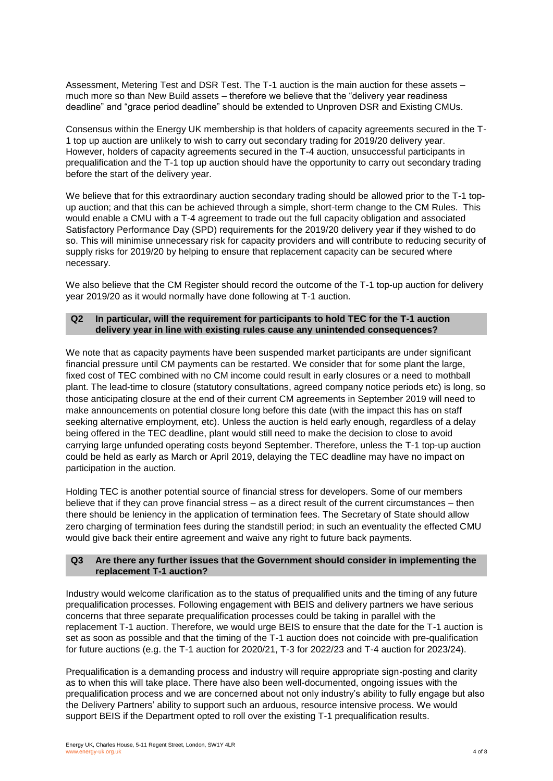Assessment, Metering Test and DSR Test. The T-1 auction is the main auction for these assets – much more so than New Build assets – therefore we believe that the "delivery year readiness deadline" and "grace period deadline" should be extended to Unproven DSR and Existing CMUs.

Consensus within the Energy UK membership is that holders of capacity agreements secured in the T-1 top up auction are unlikely to wish to carry out secondary trading for 2019/20 delivery year. However, holders of capacity agreements secured in the T-4 auction, unsuccessful participants in prequalification and the T-1 top up auction should have the opportunity to carry out secondary trading before the start of the delivery year.

We believe that for this extraordinary auction secondary trading should be allowed prior to the T-1 topup auction; and that this can be achieved through a simple, short-term change to the CM Rules. This would enable a CMU with a T-4 agreement to trade out the full capacity obligation and associated Satisfactory Performance Day (SPD) requirements for the 2019/20 delivery year if they wished to do so. This will minimise unnecessary risk for capacity providers and will contribute to reducing security of supply risks for 2019/20 by helping to ensure that replacement capacity can be secured where necessary.

We also believe that the CM Register should record the outcome of the T-1 top-up auction for delivery year 2019/20 as it would normally have done following at T-1 auction.

#### **Q2 In particular, will the requirement for participants to hold TEC for the T-1 auction delivery year in line with existing rules cause any unintended consequences?**

We note that as capacity payments have been suspended market participants are under significant financial pressure until CM payments can be restarted. We consider that for some plant the large, fixed cost of TEC combined with no CM income could result in early closures or a need to mothball plant. The lead-time to closure (statutory consultations, agreed company notice periods etc) is long, so those anticipating closure at the end of their current CM agreements in September 2019 will need to make announcements on potential closure long before this date (with the impact this has on staff seeking alternative employment, etc). Unless the auction is held early enough, regardless of a delay being offered in the TEC deadline, plant would still need to make the decision to close to avoid carrying large unfunded operating costs beyond September. Therefore, unless the T-1 top-up auction could be held as early as March or April 2019, delaying the TEC deadline may have no impact on participation in the auction.

Holding TEC is another potential source of financial stress for developers. Some of our members believe that if they can prove financial stress – as a direct result of the current circumstances – then there should be leniency in the application of termination fees. The Secretary of State should allow zero charging of termination fees during the standstill period; in such an eventuality the effected CMU would give back their entire agreement and waive any right to future back payments.

#### **Q3 Are there any further issues that the Government should consider in implementing the replacement T-1 auction?**

Industry would welcome clarification as to the status of prequalified units and the timing of any future prequalification processes. Following engagement with BEIS and delivery partners we have serious concerns that three separate prequalification processes could be taking in parallel with the replacement T-1 auction. Therefore, we would urge BEIS to ensure that the date for the T-1 auction is set as soon as possible and that the timing of the T-1 auction does not coincide with pre-qualification for future auctions (e.g. the T-1 auction for 2020/21, T-3 for 2022/23 and T-4 auction for 2023/24).

Prequalification is a demanding process and industry will require appropriate sign-posting and clarity as to when this will take place. There have also been well-documented, ongoing issues with the prequalification process and we are concerned about not only industry's ability to fully engage but also the Delivery Partners' ability to support such an arduous, resource intensive process. We would support BEIS if the Department opted to roll over the existing T-1 prequalification results.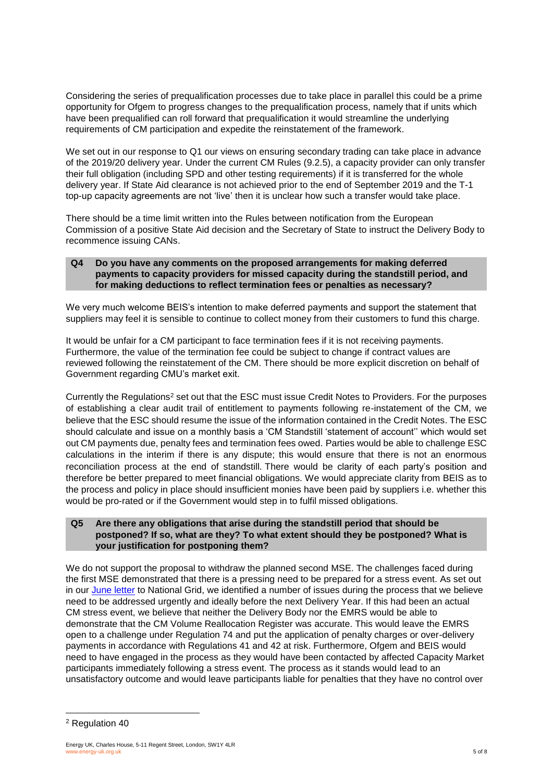Considering the series of prequalification processes due to take place in parallel this could be a prime opportunity for Ofgem to progress changes to the prequalification process, namely that if units which have been prequalified can roll forward that prequalification it would streamline the underlying requirements of CM participation and expedite the reinstatement of the framework.

We set out in our response to Q1 our views on ensuring secondary trading can take place in advance of the 2019/20 delivery year. Under the current CM Rules (9.2.5), a capacity provider can only transfer their full obligation (including SPD and other testing requirements) if it is transferred for the whole delivery year. If State Aid clearance is not achieved prior to the end of September 2019 and the T-1 top-up capacity agreements are not 'live' then it is unclear how such a transfer would take place.

There should be a time limit written into the Rules between notification from the European Commission of a positive State Aid decision and the Secretary of State to instruct the Delivery Body to recommence issuing CANs.

## **Q4 Do you have any comments on the proposed arrangements for making deferred payments to capacity providers for missed capacity during the standstill period, and for making deductions to reflect termination fees or penalties as necessary?**

We very much welcome BEIS's intention to make deferred payments and support the statement that suppliers may feel it is sensible to continue to collect money from their customers to fund this charge.

It would be unfair for a CM participant to face termination fees if it is not receiving payments. Furthermore, the value of the termination fee could be subject to change if contract values are reviewed following the reinstatement of the CM. There should be more explicit discretion on behalf of Government regarding CMU's market exit.

Currently the Regulations<sup>2</sup> set out that the ESC must issue Credit Notes to Providers. For the purposes of establishing a clear audit trail of entitlement to payments following re-instatement of the CM, we believe that the ESC should resume the issue of the information contained in the Credit Notes. The ESC should calculate and issue on a monthly basis a 'CM Standstill 'statement of account'' which would set out CM payments due, penalty fees and termination fees owed. Parties would be able to challenge ESC calculations in the interim if there is any dispute; this would ensure that there is not an enormous reconciliation process at the end of standstill. There would be clarity of each party's position and therefore be better prepared to meet financial obligations. We would appreciate clarity from BEIS as to the process and policy in place should insufficient monies have been paid by suppliers i.e. whether this would be pro-rated or if the Government would step in to fulfil missed obligations.

## **Q5 Are there any obligations that arise during the standstill period that should be postponed? If so, what are they? To what extent should they be postponed? What is your justification for postponing them?**

We do not support the proposal to withdraw the planned second MSE. The challenges faced during the first MSE demonstrated that there is a pressing need to be prepared for a stress event. As set out in our [June letter](https://www.energy-uk.org.uk/publication.html?task=file.download&id=6956) to National Grid, we identified a number of issues during the process that we believe need to be addressed urgently and ideally before the next Delivery Year. If this had been an actual CM stress event, we believe that neither the Delivery Body nor the EMRS would be able to demonstrate that the CM Volume Reallocation Register was accurate. This would leave the EMRS open to a challenge under Regulation 74 and put the application of penalty charges or over-delivery payments in accordance with Regulations 41 and 42 at risk. Furthermore, Ofgem and BEIS would need to have engaged in the process as they would have been contacted by affected Capacity Market participants immediately following a stress event. The process as it stands would lead to an unsatisfactory outcome and would leave participants liable for penalties that they have no control over

l

<sup>2</sup> Regulation 40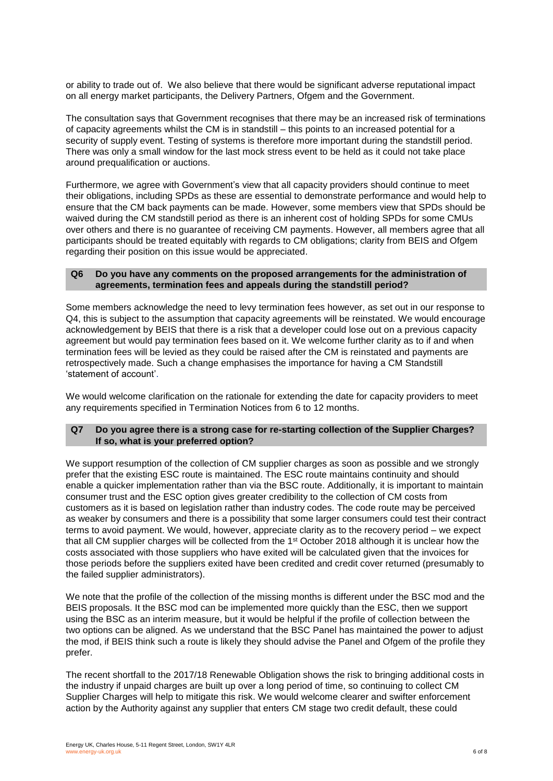or ability to trade out of. We also believe that there would be significant adverse reputational impact on all energy market participants, the Delivery Partners, Ofgem and the Government.

The consultation says that Government recognises that there may be an increased risk of terminations of capacity agreements whilst the CM is in standstill – this points to an increased potential for a security of supply event. Testing of systems is therefore more important during the standstill period. There was only a small window for the last mock stress event to be held as it could not take place around prequalification or auctions.

Furthermore, we agree with Government's view that all capacity providers should continue to meet their obligations, including SPDs as these are essential to demonstrate performance and would help to ensure that the CM back payments can be made. However, some members view that SPDs should be waived during the CM standstill period as there is an inherent cost of holding SPDs for some CMUs over others and there is no guarantee of receiving CM payments. However, all members agree that all participants should be treated equitably with regards to CM obligations; clarity from BEIS and Ofgem regarding their position on this issue would be appreciated.

#### **Q6 Do you have any comments on the proposed arrangements for the administration of agreements, termination fees and appeals during the standstill period?**

Some members acknowledge the need to levy termination fees however, as set out in our response to Q4, this is subject to the assumption that capacity agreements will be reinstated. We would encourage acknowledgement by BEIS that there is a risk that a developer could lose out on a previous capacity agreement but would pay termination fees based on it. We welcome further clarity as to if and when termination fees will be levied as they could be raised after the CM is reinstated and payments are retrospectively made. Such a change emphasises the importance for having a CM Standstill 'statement of account'.

We would welcome clarification on the rationale for extending the date for capacity providers to meet any requirements specified in Termination Notices from 6 to 12 months.

#### **Q7 Do you agree there is a strong case for re-starting collection of the Supplier Charges? If so, what is your preferred option?**

We support resumption of the collection of CM supplier charges as soon as possible and we strongly prefer that the existing ESC route is maintained. The ESC route maintains continuity and should enable a quicker implementation rather than via the BSC route. Additionally, it is important to maintain consumer trust and the ESC option gives greater credibility to the collection of CM costs from customers as it is based on legislation rather than industry codes. The code route may be perceived as weaker by consumers and there is a possibility that some larger consumers could test their contract terms to avoid payment. We would, however, appreciate clarity as to the recovery period – we expect that all CM supplier charges will be collected from the 1st October 2018 although it is unclear how the costs associated with those suppliers who have exited will be calculated given that the invoices for those periods before the suppliers exited have been credited and credit cover returned (presumably to the failed supplier administrators).

We note that the profile of the collection of the missing months is different under the BSC mod and the BEIS proposals. It the BSC mod can be implemented more quickly than the ESC, then we support using the BSC as an interim measure, but it would be helpful if the profile of collection between the two options can be aligned. As we understand that the BSC Panel has maintained the power to adjust the mod, if BEIS think such a route is likely they should advise the Panel and Ofgem of the profile they prefer.

The recent shortfall to the 2017/18 Renewable Obligation shows the risk to bringing additional costs in the industry if unpaid charges are built up over a long period of time, so continuing to collect CM Supplier Charges will help to mitigate this risk. We would welcome clearer and swifter enforcement action by the Authority against any supplier that enters CM stage two credit default, these could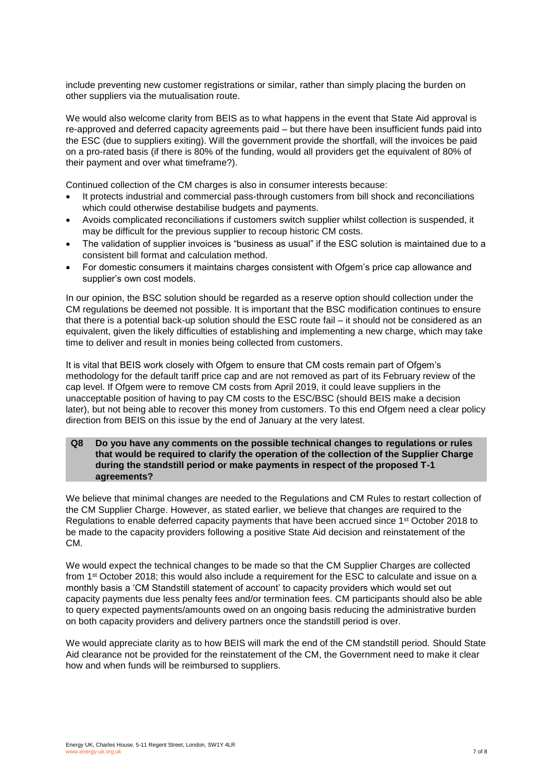include preventing new customer registrations or similar, rather than simply placing the burden on other suppliers via the mutualisation route.

We would also welcome clarity from BEIS as to what happens in the event that State Aid approval is re-approved and deferred capacity agreements paid – but there have been insufficient funds paid into the ESC (due to suppliers exiting). Will the government provide the shortfall, will the invoices be paid on a pro-rated basis (if there is 80% of the funding, would all providers get the equivalent of 80% of their payment and over what timeframe?).

Continued collection of the CM charges is also in consumer interests because:

- It protects industrial and commercial pass-through customers from bill shock and reconciliations which could otherwise destabilise budgets and payments.
- Avoids complicated reconciliations if customers switch supplier whilst collection is suspended, it may be difficult for the previous supplier to recoup historic CM costs.
- The validation of supplier invoices is "business as usual" if the ESC solution is maintained due to a consistent bill format and calculation method.
- For domestic consumers it maintains charges consistent with Ofgem's price cap allowance and supplier's own cost models.

In our opinion, the BSC solution should be regarded as a reserve option should collection under the CM regulations be deemed not possible. It is important that the BSC modification continues to ensure that there is a potential back-up solution should the ESC route fail – it should not be considered as an equivalent, given the likely difficulties of establishing and implementing a new charge, which may take time to deliver and result in monies being collected from customers.

It is vital that BEIS work closely with Ofgem to ensure that CM costs remain part of Ofgem's methodology for the default tariff price cap and are not removed as part of its February review of the cap level. If Ofgem were to remove CM costs from April 2019, it could leave suppliers in the unacceptable position of having to pay CM costs to the ESC/BSC (should BEIS make a decision later), but not being able to recover this money from customers. To this end Ofgem need a clear policy direction from BEIS on this issue by the end of January at the very latest.

#### **Q8 Do you have any comments on the possible technical changes to regulations or rules that would be required to clarify the operation of the collection of the Supplier Charge during the standstill period or make payments in respect of the proposed T-1 agreements?**

We believe that minimal changes are needed to the Regulations and CM Rules to restart collection of the CM Supplier Charge. However, as stated earlier, we believe that changes are required to the Regulations to enable deferred capacity payments that have been accrued since 1st October 2018 to be made to the capacity providers following a positive State Aid decision and reinstatement of the CM.

We would expect the technical changes to be made so that the CM Supplier Charges are collected from 1st October 2018; this would also include a requirement for the ESC to calculate and issue on a monthly basis a 'CM Standstill statement of account' to capacity providers which would set out capacity payments due less penalty fees and/or termination fees. CM participants should also be able to query expected payments/amounts owed on an ongoing basis reducing the administrative burden on both capacity providers and delivery partners once the standstill period is over.

We would appreciate clarity as to how BEIS will mark the end of the CM standstill period. Should State Aid clearance not be provided for the reinstatement of the CM, the Government need to make it clear how and when funds will be reimbursed to suppliers.